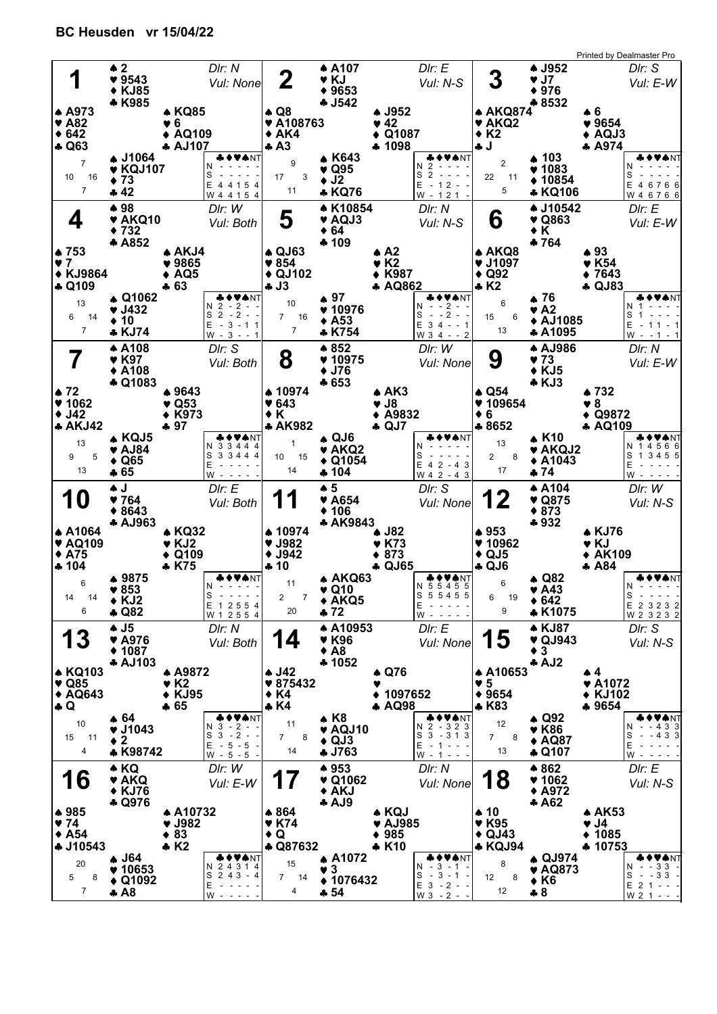